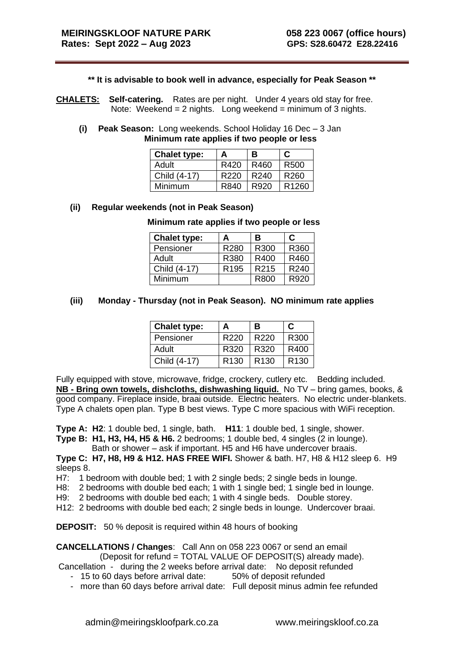## **\*\* It is advisable to book well in advance, especially for Peak Season \*\***

- **CHALETS: Self-catering.** Rates are per night. Under 4 years old stay for free. Note: Weekend =  $2$  nights. Long weekend = minimum of  $3$  nights.
	- **(i) Peak Season:** Long weekends. School Holiday 16 Dec 3 Jan  **Minimum rate applies if two people or less**

| <b>Chalet type:</b> | А                | В                | C                |
|---------------------|------------------|------------------|------------------|
| Adult               | R420             | R460             | l R500           |
| Child (4-17)        | R <sub>220</sub> | R <sub>240</sub> | R <sub>260</sub> |
| Minimum             | R840             | I R920           | I R1260          |

## **(ii) Regular weekends (not in Peak Season)**

## **Minimum rate applies if two people or less**

| <b>Chalet type:</b> | А                | в                 | C                |
|---------------------|------------------|-------------------|------------------|
| Pensioner           | R280             | R300              | R360             |
| Adult               | R380             | R400              | R460             |
| Child (4-17)        | R <sub>195</sub> | R <sub>2</sub> 15 | R <sub>240</sub> |
| Minimum             |                  | R800              | R920             |

## **(iii) Monday - Thursday (not in Peak Season). NO minimum rate applies**

| <b>Chalet type:</b> | А                | В                | C.               |
|---------------------|------------------|------------------|------------------|
| Pensioner           | R <sub>220</sub> | R <sub>220</sub> | R300             |
| Adult               | R320             | R320             | R400             |
| Child (4-17)        | R <sub>130</sub> | R <sub>130</sub> | R <sub>130</sub> |

Fully equipped with stove, microwave, fridge, crockery, cutlery etc. Bedding included. **NB - Bring own towels, dishcloths, dishwashing liquid.** No TV – bring games, books, & good company. Fireplace inside, braai outside. Electric heaters. No electric under-blankets. Type A chalets open plan. Type B best views. Type C more spacious with WiFi reception.

**Type A: H2**: 1 double bed, 1 single, bath. **H11**: 1 double bed, 1 single, shower. **Type B: H1, H3, H4, H5 & H6.** 2 bedrooms; 1 double bed, 4 singles (2 in lounge).

Bath or shower – ask if important. H5 and H6 have undercover braais.

**Type C: H7, H8, H9 & H12. HAS FREE WIFI.** Shower & bath. H7, H8 & H12 sleep 6. H9 sleeps 8.

H7: 1 bedroom with double bed; 1 with 2 single beds; 2 single beds in lounge.

H8: 2 bedrooms with double bed each; 1 with 1 single bed; 1 single bed in lounge.

H9: 2 bedrooms with double bed each; 1 with 4 single beds. Double storey.

H12: 2 bedrooms with double bed each; 2 single beds in lounge. Undercover braai.

**DEPOSIT:** 50 % deposit is required within 48 hours of booking

**CANCELLATIONS / Changes**: Call Ann on 058 223 0067 or send an email

(Deposit for refund = TOTAL VALUE OF DEPOSIT(S) already made).

Cancellation - during the 2 weeks before arrival date: No deposit refunded

- 15 to 60 days before arrival date: 50% of deposit refunded
- more than 60 days before arrival date: Full deposit minus admin fee refunded